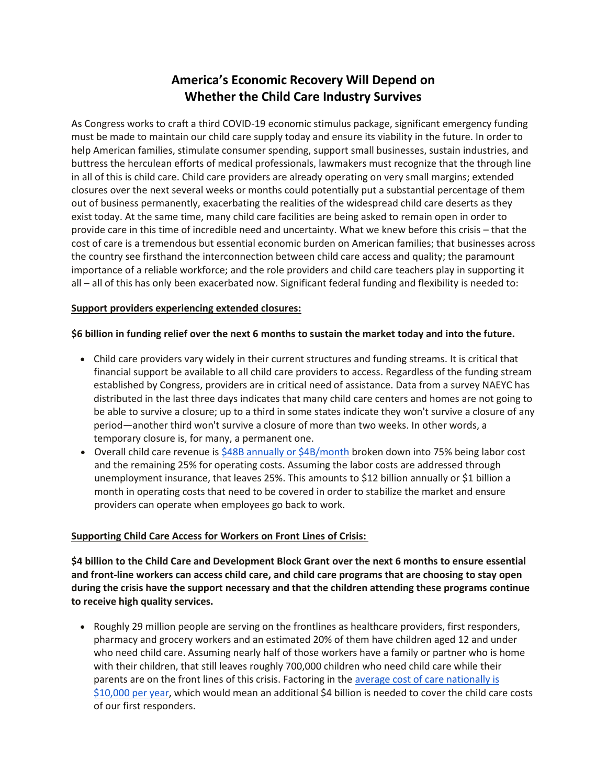## **America's Economic Recovery Will Depend on Whether the Child Care Industry Survives**

As Congress works to craft a third COVID-19 economic stimulus package, significant emergency funding must be made to maintain our child care supply today and ensure its viability in the future. In order to help American families, stimulate consumer spending, support small businesses, sustain industries, and buttress the herculean efforts of medical professionals, lawmakers must recognize that the through line in all of this is child care. Child care providers are already operating on very small margins; extended closures over the next several weeks or months could potentially put a substantial percentage of them out of business permanently, exacerbating the realities of the widespread child care deserts as they exist today. At the same time, many child care facilities are being asked to remain open in order to provide care in this time of incredible need and uncertainty. What we knew before this crisis – that the cost of care is a tremendous but essential economic burden on American families; that businesses across the country see firsthand the interconnection between child care access and quality; the paramount importance of a reliable workforce; and the role providers and child care teachers play in supporting it all – all of this has only been exacerbated now. Significant federal funding and flexibility is needed to:

## **Support providers experiencing extended closures:**

## **\$6 billion in funding relief over the next 6 months to sustain the market today and into the future.**

- Child care providers vary widely in their current structures and funding streams. It is critical that financial support be available to all child care providers to access. Regardless of the funding stream established by Congress, providers are in critical need of assistance. Data from a survey NAEYC has distributed in the last three days indicates that many child care centers and homes are not going to be able to survive a closure; up to a third in some states indicate they won't survive a closure of any period—another third won't survive a closure of more than two weeks. In other words, a temporary closure is, for many, a permanent one.
- Overall child care revenue i[s \\$48B annually or \\$4B/month](https://www.ced.org/childcareimpact) broken down into 75% being labor cost and the remaining 25% for operating costs. Assuming the labor costs are addressed through unemployment insurance, that leaves 25%. This amounts to \$12 billion annually or \$1 billion a month in operating costs that need to be covered in order to stabilize the market and ensure providers can operate when employees go back to work.

## **Supporting Child Care Access for Workers on Front Lines of Crisis:**

**\$4 billion to the Child Care and Development Block Grant over the next 6 months to ensure essential and front-line workers can access child care, and child care programs that are choosing to stay open during the crisis have the support necessary and that the children attending these programs continue to receive high quality services.**

• Roughly 29 million people are serving on the frontlines as healthcare providers, first responders, pharmacy and grocery workers and an estimated 20% of them have children aged 12 and under who need child care. Assuming nearly half of those workers have a family or partner who is home with their children, that still leaves roughly 700,000 children who need child care while their parents are on the front lines of this crisis. Factoring in the [average cost of care nationally is](https://www.childcareaware.org/our-issues/research/the-us-and-the-high-price-of-child-care-2019/)  [\\$10,000 per year,](https://www.childcareaware.org/our-issues/research/the-us-and-the-high-price-of-child-care-2019/) which would mean an additional \$4 billion is needed to cover the child care costs of our first responders.